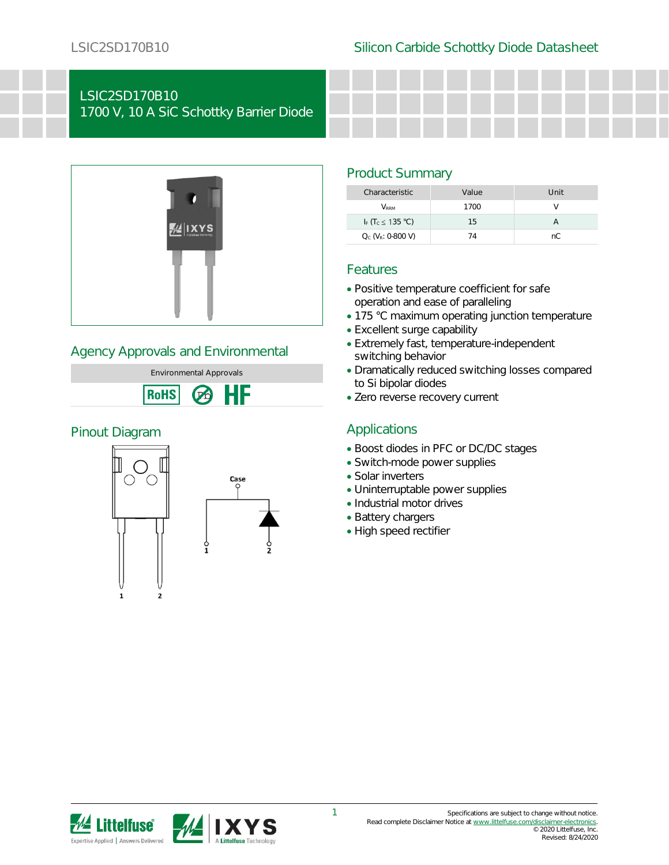# LSIC2SD170B10

1700 V, 10 A SiC Schottky Barrier Diode



#### Agency Approvals and Environmental



#### Pinout Diagram



#### Product Summary

| Characteristic                            | Value | Unit |
|-------------------------------------------|-------|------|
| <b>V</b> <sub>RRM</sub>                   | 1700  |      |
| I <sub>F</sub> $(T_c \leq 135 \degree C)$ | 15    |      |
| $Q_c$ ( $V_R$ : 0-800 V)                  | 14    | nC.  |

#### Features

- Positive temperature coefficient for safe operation and ease of paralleling
- 175 °C maximum operating junction temperature
- Excellent surge capability
- Extremely fast, temperature-independent switching behavior
- Dramatically reduced switching losses compared to Si bipolar diodes
- Zero reverse recovery current

### Applications

- Boost diodes in PFC or DC/DC stages
- Switch-mode power supplies
- Solar inverters
- Uninterruptable power supplies
- Industrial motor drives
- Battery chargers
- High speed rectifier

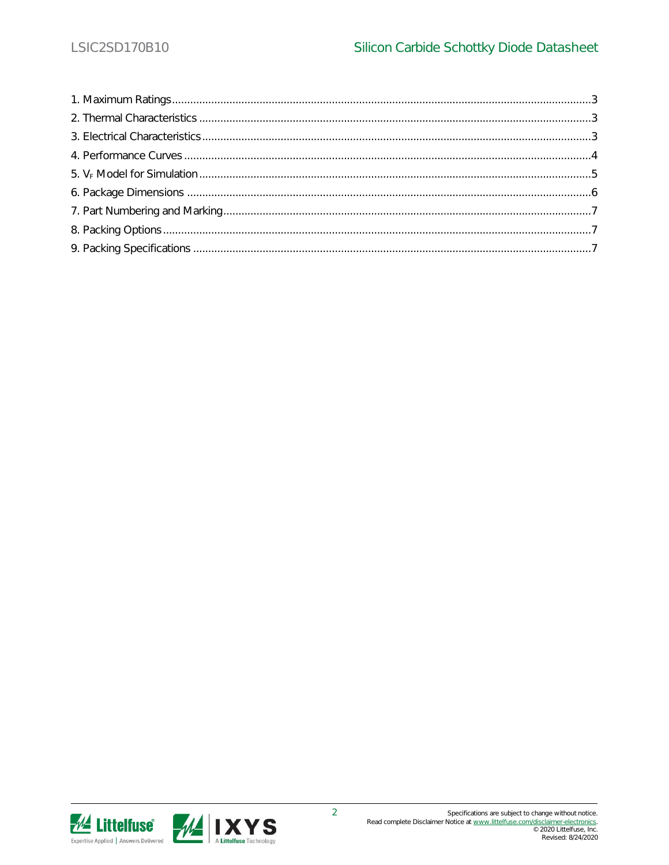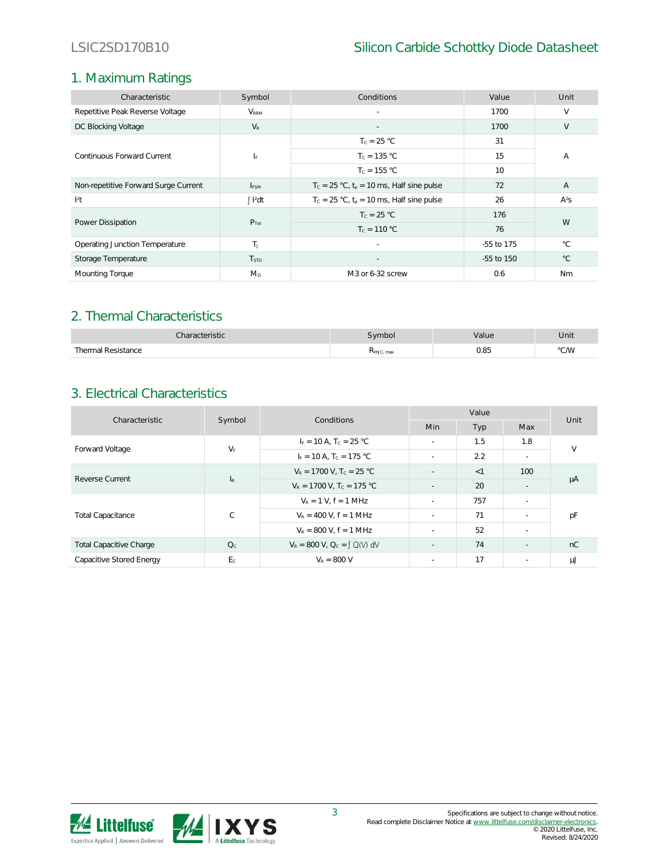### 1. Maximum Ratings

| Characteristic                       | Symbol                  | Conditions                                     | Value      | Unit           |  |
|--------------------------------------|-------------------------|------------------------------------------------|------------|----------------|--|
| Repetitive Peak Reverse Voltage      | <b>V</b> <sub>RRM</sub> | $\sim$                                         | 1700       | $\vee$         |  |
| DC Blocking Voltage                  | $V_{R}$                 |                                                | 1700       | V              |  |
|                                      |                         | $T_c = 25 °C$                                  | 31         |                |  |
| Continuous Forward Current           | ΙF                      | $T_c = 135 °C$                                 | 15         | Α              |  |
|                                      |                         | $T_c = 155 °C$                                 | 10         |                |  |
| Non-repetitive Forward Surge Current | <b>I</b> <sub>ESM</sub> | $T_c = 25 °C$ , $t_p = 10$ ms, Half sine pulse | 72         | $\overline{A}$ |  |
| $ ^{2}$ t                            | $\int$ $I^2$ dt         | $T_c = 25 °C$ , $t_p = 10$ ms, Half sine pulse | 26         | $A^2S$         |  |
|                                      |                         | $T_c = 25 °C$                                  | 176        | W              |  |
| Power Dissipation                    | $P_{Tot}$               | $T_c = 110 °C$                                 | 76         |                |  |
| Operating Junction Temperature       | T <sub>1</sub>          | $\sim$                                         | -55 to 175 | $^{\circ}C$    |  |
| Storage Temperature                  | T <sub>STG</sub>        |                                                | -55 to 150 | $^{\circ}$ C   |  |
| Mounting Torque                      | $M_{D}$                 | M3 or 6-32 screw                               | 0.6        | Nm             |  |

### 2. Thermal Characteristics

| √haracteristic          | vmbol      | alue | Unit |
|-------------------------|------------|------|------|
| Thermal Resistance<br>. | KthJC, max | 0.85 | °C/W |

## 3. Electrical Characteristics

| Characteristic                 | Symbol                    | Conditions                              | Value      |       |                          | Unit   |
|--------------------------------|---------------------------|-----------------------------------------|------------|-------|--------------------------|--------|
|                                |                           |                                         | <b>Min</b> | Typ   | Max                      |        |
| Forward Voltage                | $V_F$                     | $I_F = 10 A$ , T <sub>c</sub> = 25 °C   | ÷.         | 1.5   | 1.8                      | $\vee$ |
|                                |                           | $I_F = 10 A$ , $T_C = 175 °C$           | ÷.         | 2.2   | $\sim$                   |        |
| Reverse Current                | $\mathsf{I}_{\mathsf{R}}$ | $V_R = 1700$ V, $T_c = 25$ °C           |            | $<$ 1 | 100                      | μA     |
|                                |                           | $V_R = 1700$ V, T <sub>c</sub> = 175 °C | $\sim$     | 20    | $\sim$                   |        |
| <b>Total Capacitance</b>       | $\mathsf{C}$              | $V_R = 1 V$ . $f = 1 MHz$               | $\sim$     | 757   | $\overline{\phantom{a}}$ |        |
|                                |                           | $V_R = 400$ V, $f = 1$ MHz              | ÷.         | 71    | $\sim$                   | рF     |
|                                |                           | $V_R$ = 800 V, f = 1 MHz                | ÷.         | 52    | $\sim$                   |        |
| <b>Total Capacitive Charge</b> | Q <sub>c</sub>            | $V_R = 800$ V, $Q_C = \int Q(V) dV$     | $\sim$     | 74    | ٠                        | nC     |
| Capacitive Stored Energy       | E <sub>c</sub>            | $V_R = 800 V$                           | ÷.         | 17    | $\sim$                   | μJ     |

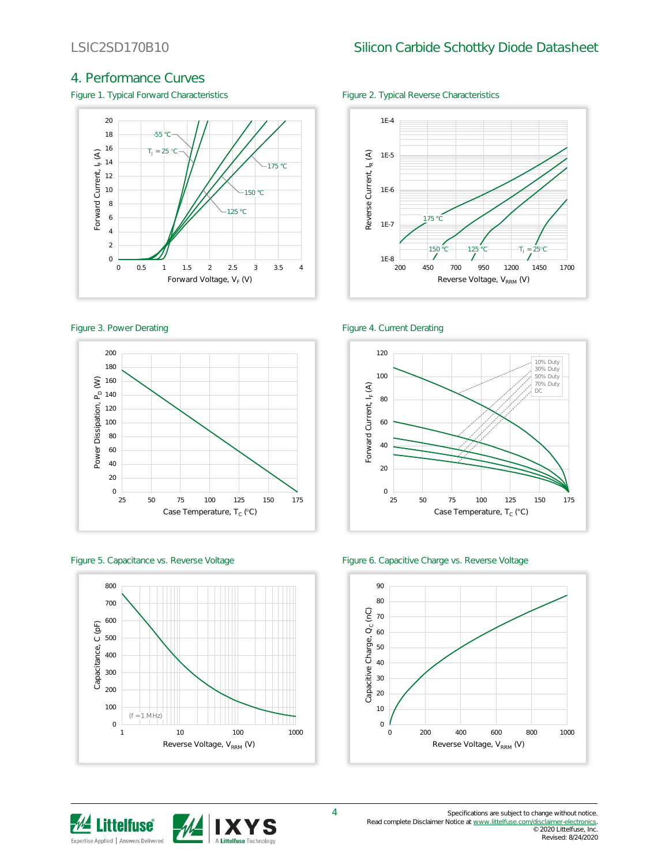#### 4. Performance Curves

Figure 1. Typical Forward Characteristics Figure 2. Typical Reverse Characteristics











#### Figure 3. Power Derating The Contract of the Figure 4. Current Derating



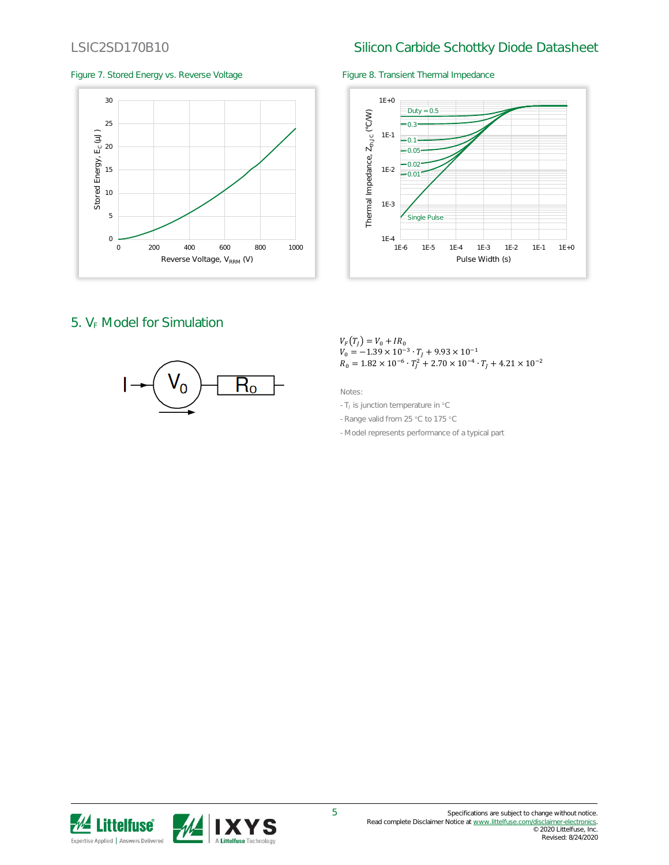### LSIC2SD170B10 Silicon Carbide Schottky Diode Datasheet

#### Figure 7. Stored Energy vs. Reverse Voltage Figure 8. Transient Thermal Impedance





### 5.  $V_F$  Model for Simulation



$$
V_F(T_J) = V_0 + IR_0
$$
  
\n
$$
V_0 = -1.39 \times 10^{-3} \cdot T_J + 9.93 \times 10^{-1}
$$
  
\n
$$
R_0 = 1.82 \times 10^{-6} \cdot T_J^2 + 2.70 \times 10^{-4} \cdot T_J + 4.21 \times 10^{-2}
$$

Notes:

- TJ is junction temperature in °C
- Range valid from 25 °C to 175 °C
- Model represents performance of a typical part

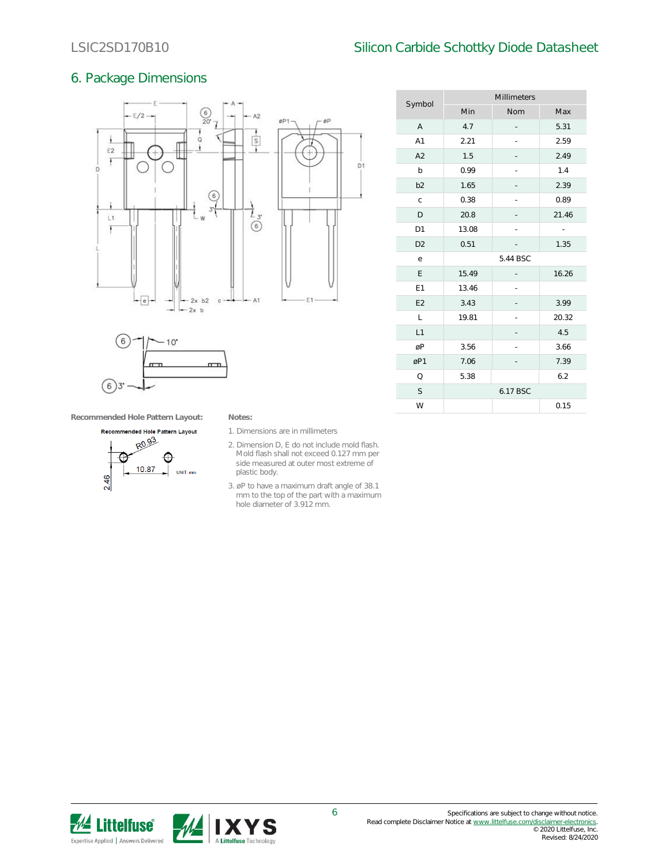#### LSIC2SD170B10 Silicon Carbide Schottky Diode Datasheet

Millimeters

#### 6. Package Dimensions





| Symbol         | Min      | Nom | Max   |  |
|----------------|----------|-----|-------|--|
| $\overline{A}$ | 4.7      |     | 5.31  |  |
| A1             | 2.21     |     | 2.59  |  |
| A2             | 1.5      |     | 2.49  |  |
| b              | 0.99     |     | 1.4   |  |
| b <sub>2</sub> | 1.65     |     | 2.39  |  |
| $\mathsf{C}$   | 0.38     |     | 0.89  |  |
| D              | 20.8     |     | 21.46 |  |
| D <sub>1</sub> | 13.08    |     | ÷,    |  |
| D <sub>2</sub> | 0.51     |     | 1.35  |  |
| е              | 5.44 BSC |     |       |  |
| E              | 15.49    |     | 16.26 |  |
| E1             | 13.46    |     |       |  |
| E <sub>2</sub> | 3.43     |     | 3.99  |  |
| L              | 19.81    |     | 20.32 |  |
| L1             |          |     | 4.5   |  |
| øP             | 3.56     |     | 3.66  |  |
| øP1            | 7.06     |     | 7.39  |  |
| Q              | 5.38     |     | 6.2   |  |
| S              | 6.17 BSC |     |       |  |
| W              |          |     | 0.15  |  |
|                |          |     |       |  |

**Recommended Hole Pattern Layout: Notes:**



- 1. Dimensions are in millimeters
- 2. Dimension D, E do not include mold flash. Mold flash shall not exceed 0.127 mm per side measured at outer most extreme of plastic body.
- 3. øP to have a maximum draft angle of 38.1 mm to the top of the part with a maximum hole diameter of 3.912 mm.